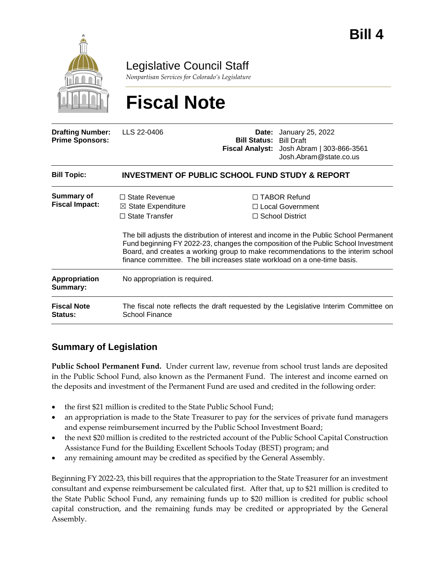

Legislative Council Staff

*Nonpartisan Services for Colorado's Legislature*

# **Fiscal Note**

| <b>Drafting Number:</b><br><b>Prime Sponsors:</b> | LLS 22-0406                                                                                                                                                 | <b>Bill Status: Bill Draft</b> | <b>Date:</b> January 25, 2022<br>Fiscal Analyst: Josh Abram   303-866-3561<br>Josh.Abram@state.co.us                                                                                                                                                                                                                                     |
|---------------------------------------------------|-------------------------------------------------------------------------------------------------------------------------------------------------------------|--------------------------------|------------------------------------------------------------------------------------------------------------------------------------------------------------------------------------------------------------------------------------------------------------------------------------------------------------------------------------------|
| <b>Bill Topic:</b>                                | <b>INVESTMENT OF PUBLIC SCHOOL FUND STUDY &amp; REPORT</b>                                                                                                  |                                |                                                                                                                                                                                                                                                                                                                                          |
| Summary of<br><b>Fiscal Impact:</b>               | $\Box$ State Revenue<br>$\boxtimes$ State Expenditure<br>$\Box$ State Transfer<br>finance committee. The bill increases state workload on a one-time basis. |                                | $\Box$ TABOR Refund<br>□ Local Government<br>$\Box$ School District<br>The bill adjusts the distribution of interest and income in the Public School Permanent<br>Fund beginning FY 2022-23, changes the composition of the Public School Investment<br>Board, and creates a working group to make recommendations to the interim school |
| <b>Appropriation</b><br>Summary:                  | No appropriation is required.                                                                                                                               |                                |                                                                                                                                                                                                                                                                                                                                          |
| <b>Fiscal Note</b><br><b>Status:</b>              | The fiscal note reflects the draft requested by the Legislative Interim Committee on<br><b>School Finance</b>                                               |                                |                                                                                                                                                                                                                                                                                                                                          |

## **Summary of Legislation**

**Public School Permanent Fund.** Under current law, revenue from school trust lands are deposited in the Public School Fund, also known as the Permanent Fund. The interest and income earned on the deposits and investment of the Permanent Fund are used and credited in the following order:

- the first \$21 million is credited to the State Public School Fund;
- an appropriation is made to the State Treasurer to pay for the services of private fund managers and expense reimbursement incurred by the Public School Investment Board;
- the next \$20 million is credited to the restricted account of the Public School Capital Construction Assistance Fund for the Building Excellent Schools Today (BEST) program; and
- any remaining amount may be credited as specified by the General Assembly.

Beginning FY 2022-23, this bill requires that the appropriation to the State Treasurer for an investment consultant and expense reimbursement be calculated first. After that, up to \$21 million is credited to the State Public School Fund, any remaining funds up to \$20 million is credited for public school capital construction, and the remaining funds may be credited or appropriated by the General Assembly.